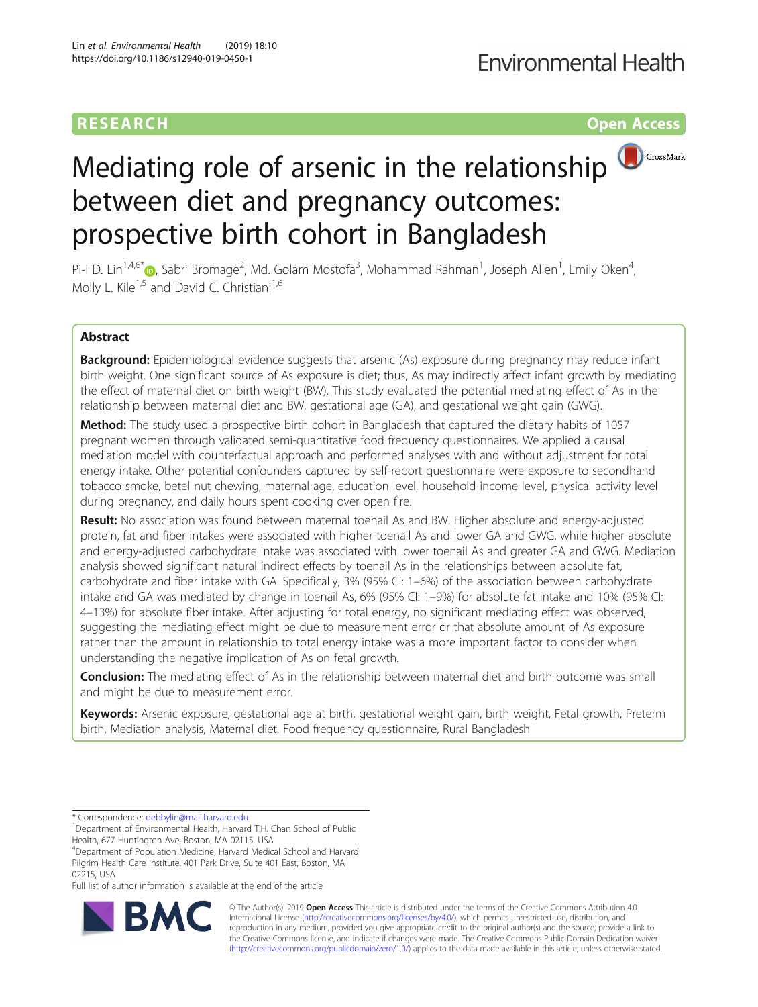# **RESEARCH CHINESE ARCH CHINESE ARCHITECT ARCHITECT ARCHITECT ARCHITECT ARCHITECT ARCHITECT ARCHITECT ARCHITECT ARCHITECT ARCHITECT ARCHITECT ARCHITECT ARCHITECT ARCHITECT ARCHITECT ARCHITECT ARCHITECT ARCHITECT ARCHITE**



# Mediating role of arsenic in the relationship between diet and pregnancy outcomes: prospective birth cohort in Bangladesh

Pi-I D. Lin<sup>1,4,6[\\*](http://orcid.org/0000-0003-3564-4255)</sup>®, Sabri Bromage<sup>2</sup>, Md. Golam Mostofa<sup>3</sup>, Mohammad Rahman<sup>1</sup>, Joseph Allen<sup>1</sup>, Emily Oken<sup>4</sup> , Molly L. Kile<sup>1,5</sup> and David C. Christiani<sup>1,6</sup>

# Abstract

Background: Epidemiological evidence suggests that arsenic (As) exposure during pregnancy may reduce infant birth weight. One significant source of As exposure is diet; thus, As may indirectly affect infant growth by mediating the effect of maternal diet on birth weight (BW). This study evaluated the potential mediating effect of As in the relationship between maternal diet and BW, gestational age (GA), and gestational weight gain (GWG).

**Method:** The study used a prospective birth cohort in Bangladesh that captured the dietary habits of 1057 pregnant women through validated semi-quantitative food frequency questionnaires. We applied a causal mediation model with counterfactual approach and performed analyses with and without adjustment for total energy intake. Other potential confounders captured by self-report questionnaire were exposure to secondhand tobacco smoke, betel nut chewing, maternal age, education level, household income level, physical activity level during pregnancy, and daily hours spent cooking over open fire.

Result: No association was found between maternal toenail As and BW. Higher absolute and energy-adjusted protein, fat and fiber intakes were associated with higher toenail As and lower GA and GWG, while higher absolute and energy-adjusted carbohydrate intake was associated with lower toenail As and greater GA and GWG. Mediation analysis showed significant natural indirect effects by toenail As in the relationships between absolute fat, carbohydrate and fiber intake with GA. Specifically, 3% (95% CI: 1–6%) of the association between carbohydrate intake and GA was mediated by change in toenail As, 6% (95% CI: 1–9%) for absolute fat intake and 10% (95% CI: 4–13%) for absolute fiber intake. After adjusting for total energy, no significant mediating effect was observed, suggesting the mediating effect might be due to measurement error or that absolute amount of As exposure rather than the amount in relationship to total energy intake was a more important factor to consider when understanding the negative implication of As on fetal growth.

**Conclusion:** The mediating effect of As in the relationship between maternal diet and birth outcome was small and might be due to measurement error.

Keywords: Arsenic exposure, gestational age at birth, gestational weight gain, birth weight, Fetal growth, Preterm birth, Mediation analysis, Maternal diet, Food frequency questionnaire, Rural Bangladesh

\* Correspondence: [debbylin@mail.harvard.edu](mailto:debbylin@mail.harvard.edu) <sup>1</sup>

Pilgrim Health Care Institute, 401 Park Drive, Suite 401 East, Boston, MA 02215, USA

Full list of author information is available at the end of the article



© The Author(s). 2019 **Open Access** This article is distributed under the terms of the Creative Commons Attribution 4.0 International License [\(http://creativecommons.org/licenses/by/4.0/](http://creativecommons.org/licenses/by/4.0/)), which permits unrestricted use, distribution, and reproduction in any medium, provided you give appropriate credit to the original author(s) and the source, provide a link to the Creative Commons license, and indicate if changes were made. The Creative Commons Public Domain Dedication waiver [\(http://creativecommons.org/publicdomain/zero/1.0/](http://creativecommons.org/publicdomain/zero/1.0/)) applies to the data made available in this article, unless otherwise stated.

<sup>&</sup>lt;sup>1</sup>Department of Environmental Health, Harvard T.H. Chan School of Public Health, 677 Huntington Ave, Boston, MA 02115, USA

<sup>4</sup> Department of Population Medicine, Harvard Medical School and Harvard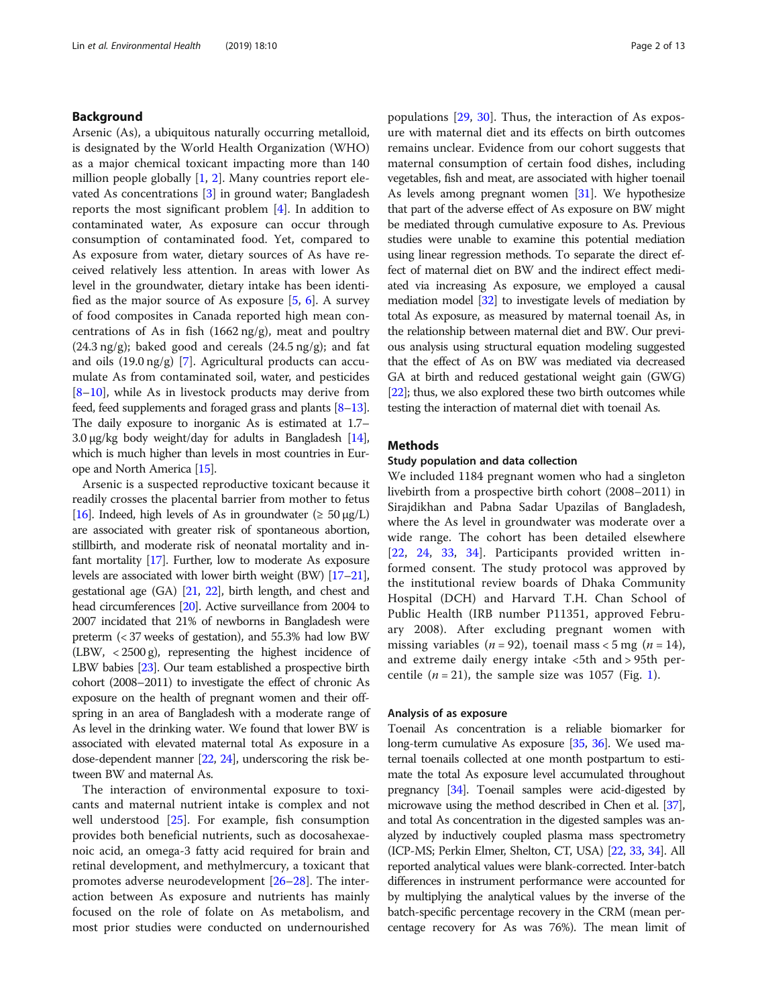# Background

Arsenic (As), a ubiquitous naturally occurring metalloid, is designated by the World Health Organization (WHO) as a major chemical toxicant impacting more than 140 million people globally [\[1](#page-10-0), [2](#page-10-0)]. Many countries report elevated As concentrations [\[3\]](#page-10-0) in ground water; Bangladesh reports the most significant problem [[4\]](#page-10-0). In addition to contaminated water, As exposure can occur through consumption of contaminated food. Yet, compared to As exposure from water, dietary sources of As have received relatively less attention. In areas with lower As level in the groundwater, dietary intake has been identified as the major source of As exposure [[5](#page-10-0), [6\]](#page-10-0). A survey of food composites in Canada reported high mean concentrations of As in fish (1662 ng/g), meat and poultry  $(24.3 \text{ ng/g})$ ; baked good and cereals  $(24.5 \text{ ng/g})$ ; and fat and oils (19.0 ng/g) [[7\]](#page-10-0). Agricultural products can accumulate As from contaminated soil, water, and pesticides [[8](#page-10-0)–[10\]](#page-10-0), while As in livestock products may derive from feed, feed supplements and foraged grass and plants [\[8](#page-10-0)–[13](#page-11-0)]. The daily exposure to inorganic As is estimated at 1.7– 3.0  $\mu$ g/kg body weight/day for adults in Bangladesh [\[14](#page-11-0)], which is much higher than levels in most countries in Europe and North America [\[15](#page-11-0)].

Arsenic is a suspected reproductive toxicant because it readily crosses the placental barrier from mother to fetus [[16](#page-11-0)]. Indeed, high levels of As in groundwater ( $\geq 50 \,\mu$ g/L) are associated with greater risk of spontaneous abortion, stillbirth, and moderate risk of neonatal mortality and infant mortality [\[17](#page-11-0)]. Further, low to moderate As exposure levels are associated with lower birth weight (BW) [[17](#page-11-0)–[21](#page-11-0)], gestational age (GA) [\[21,](#page-11-0) [22\]](#page-11-0), birth length, and chest and head circumferences [[20](#page-11-0)]. Active surveillance from 2004 to 2007 incidated that 21% of newborns in Bangladesh were preterm (< 37 weeks of gestation), and 55.3% had low BW (LBW, < 2500 g), representing the highest incidence of LBW babies [\[23](#page-11-0)]. Our team established a prospective birth cohort (2008–2011) to investigate the effect of chronic As exposure on the health of pregnant women and their offspring in an area of Bangladesh with a moderate range of As level in the drinking water. We found that lower BW is associated with elevated maternal total As exposure in a dose-dependent manner [[22,](#page-11-0) [24](#page-11-0)], underscoring the risk between BW and maternal As.

The interaction of environmental exposure to toxicants and maternal nutrient intake is complex and not well understood [\[25\]](#page-11-0). For example, fish consumption provides both beneficial nutrients, such as docosahexaenoic acid, an omega-3 fatty acid required for brain and retinal development, and methylmercury, a toxicant that promotes adverse neurodevelopment [[26](#page-11-0)–[28](#page-11-0)]. The interaction between As exposure and nutrients has mainly focused on the role of folate on As metabolism, and most prior studies were conducted on undernourished

populations [\[29](#page-11-0), [30\]](#page-11-0). Thus, the interaction of As exposure with maternal diet and its effects on birth outcomes remains unclear. Evidence from our cohort suggests that maternal consumption of certain food dishes, including vegetables, fish and meat, are associated with higher toenail As levels among pregnant women  $[31]$ . We hypothesize that part of the adverse effect of As exposure on BW might be mediated through cumulative exposure to As. Previous studies were unable to examine this potential mediation using linear regression methods. To separate the direct effect of maternal diet on BW and the indirect effect mediated via increasing As exposure, we employed a causal mediation model [[32](#page-11-0)] to investigate levels of mediation by total As exposure, as measured by maternal toenail As, in the relationship between maternal diet and BW. Our previous analysis using structural equation modeling suggested that the effect of As on BW was mediated via decreased GA at birth and reduced gestational weight gain (GWG) [[22](#page-11-0)]; thus, we also explored these two birth outcomes while testing the interaction of maternal diet with toenail As.

# Methods

## Study population and data collection

We included 1184 pregnant women who had a singleton livebirth from a prospective birth cohort (2008–2011) in Sirajdikhan and Pabna Sadar Upazilas of Bangladesh, where the As level in groundwater was moderate over a wide range. The cohort has been detailed elsewhere [[22,](#page-11-0) [24](#page-11-0), [33,](#page-11-0) [34](#page-11-0)]. Participants provided written informed consent. The study protocol was approved by the institutional review boards of Dhaka Community Hospital (DCH) and Harvard T.H. Chan School of Public Health (IRB number P11351, approved February 2008). After excluding pregnant women with missing variables ( $n = 92$ ), toenail mass < 5 mg ( $n = 14$ ), and extreme daily energy intake <5th and > 95th percentile  $(n = 21)$  $(n = 21)$ , the sample size was 1057 (Fig. 1).

## Analysis of as exposure

Toenail As concentration is a reliable biomarker for long-term cumulative As exposure [\[35,](#page-11-0) [36\]](#page-11-0). We used maternal toenails collected at one month postpartum to estimate the total As exposure level accumulated throughout pregnancy [\[34\]](#page-11-0). Toenail samples were acid-digested by microwave using the method described in Chen et al. [\[37](#page-11-0)], and total As concentration in the digested samples was analyzed by inductively coupled plasma mass spectrometry (ICP-MS; Perkin Elmer, Shelton, CT, USA) [\[22,](#page-11-0) [33](#page-11-0), [34\]](#page-11-0). All reported analytical values were blank-corrected. Inter-batch differences in instrument performance were accounted for by multiplying the analytical values by the inverse of the batch-specific percentage recovery in the CRM (mean percentage recovery for As was 76%). The mean limit of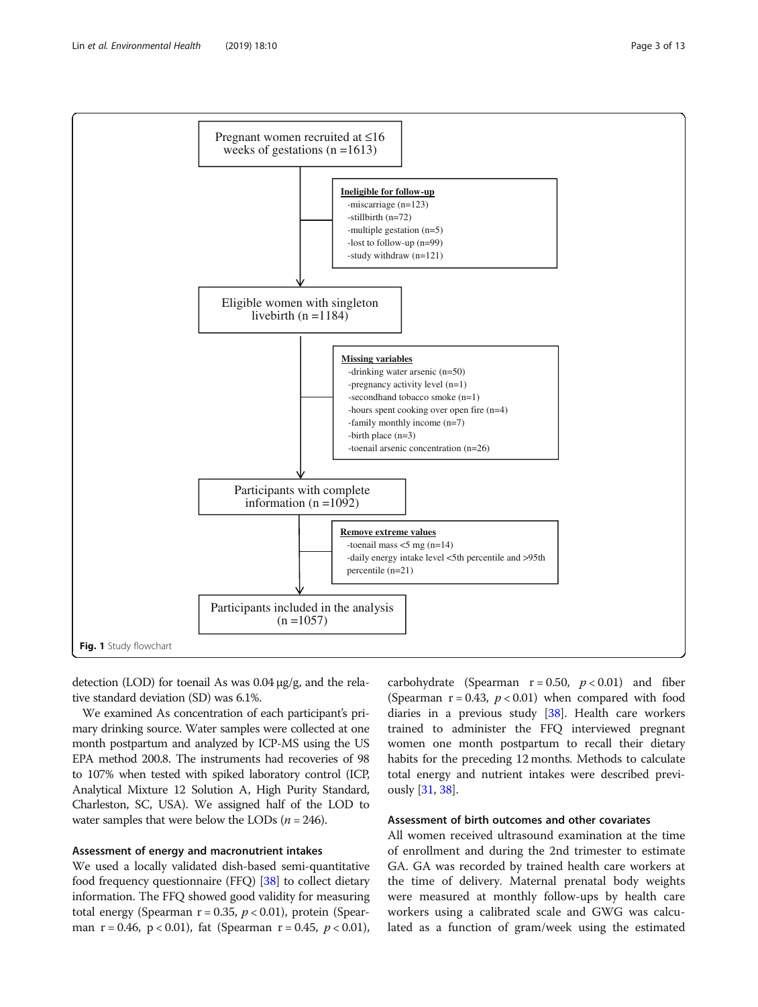<span id="page-2-0"></span>

detection (LOD) for toenail As was 0.04 μg/g, and the relative standard deviation (SD) was 6.1%.

We examined As concentration of each participant's primary drinking source. Water samples were collected at one month postpartum and analyzed by ICP-MS using the US EPA method 200.8. The instruments had recoveries of 98 to 107% when tested with spiked laboratory control (ICP, Analytical Mixture 12 Solution A, High Purity Standard, Charleston, SC, USA). We assigned half of the LOD to water samples that were below the LODs ( $n = 246$ ).

# Assessment of energy and macronutrient intakes

We used a locally validated dish-based semi-quantitative food frequency questionnaire (FFQ) [\[38\]](#page-11-0) to collect dietary information. The FFQ showed good validity for measuring total energy (Spearman  $r = 0.35$ ,  $p < 0.01$ ), protein (Spearman  $r = 0.46$ ,  $p < 0.01$ ), fat (Spearman  $r = 0.45$ ,  $p < 0.01$ ),

carbohydrate (Spearman  $r = 0.50$ ,  $p < 0.01$ ) and fiber (Spearman  $r = 0.43$ ,  $p < 0.01$ ) when compared with food diaries in a previous study [[38](#page-11-0)]. Health care workers trained to administer the FFQ interviewed pregnant women one month postpartum to recall their dietary habits for the preceding 12 months. Methods to calculate total energy and nutrient intakes were described previously [\[31,](#page-11-0) [38](#page-11-0)].

# Assessment of birth outcomes and other covariates

All women received ultrasound examination at the time of enrollment and during the 2nd trimester to estimate GA. GA was recorded by trained health care workers at the time of delivery. Maternal prenatal body weights were measured at monthly follow-ups by health care workers using a calibrated scale and GWG was calculated as a function of gram/week using the estimated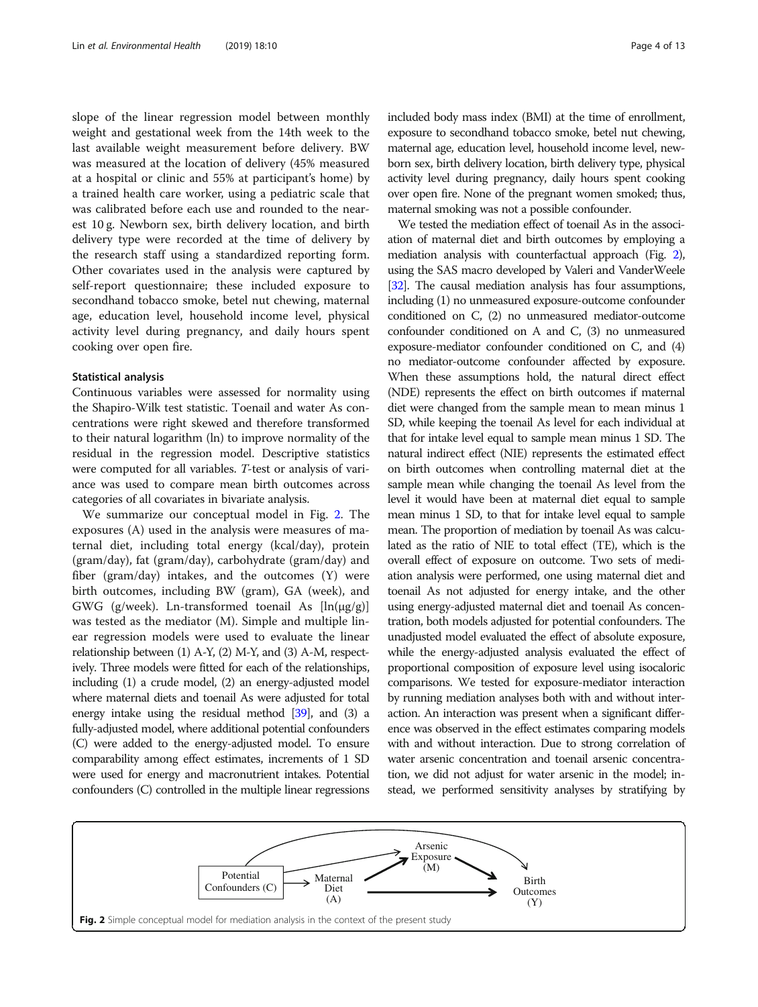slope of the linear regression model between monthly weight and gestational week from the 14th week to the last available weight measurement before delivery. BW was measured at the location of delivery (45% measured at a hospital or clinic and 55% at participant's home) by a trained health care worker, using a pediatric scale that was calibrated before each use and rounded to the nearest 10 g. Newborn sex, birth delivery location, and birth delivery type were recorded at the time of delivery by the research staff using a standardized reporting form. Other covariates used in the analysis were captured by self-report questionnaire; these included exposure to secondhand tobacco smoke, betel nut chewing, maternal age, education level, household income level, physical activity level during pregnancy, and daily hours spent cooking over open fire.

# Statistical analysis

Continuous variables were assessed for normality using the Shapiro-Wilk test statistic. Toenail and water As concentrations were right skewed and therefore transformed to their natural logarithm (ln) to improve normality of the residual in the regression model. Descriptive statistics were computed for all variables. T-test or analysis of variance was used to compare mean birth outcomes across categories of all covariates in bivariate analysis.

We summarize our conceptual model in Fig. 2. The exposures (A) used in the analysis were measures of maternal diet, including total energy (kcal/day), protein (gram/day), fat (gram/day), carbohydrate (gram/day) and fiber (gram/day) intakes, and the outcomes (Y) were birth outcomes, including BW (gram), GA (week), and GWG (g/week). Ln-transformed toenail As  $[\ln(\mu g/g)]$ was tested as the mediator (M). Simple and multiple linear regression models were used to evaluate the linear relationship between (1) A-Y, (2) M-Y, and (3) A-M, respectively. Three models were fitted for each of the relationships, including (1) a crude model, (2) an energy-adjusted model where maternal diets and toenail As were adjusted for total energy intake using the residual method [\[39](#page-11-0)], and (3) a fully-adjusted model, where additional potential confounders (C) were added to the energy-adjusted model. To ensure comparability among effect estimates, increments of 1 SD were used for energy and macronutrient intakes. Potential confounders (C) controlled in the multiple linear regressions included body mass index (BMI) at the time of enrollment, exposure to secondhand tobacco smoke, betel nut chewing, maternal age, education level, household income level, newborn sex, birth delivery location, birth delivery type, physical activity level during pregnancy, daily hours spent cooking over open fire. None of the pregnant women smoked; thus, maternal smoking was not a possible confounder.

We tested the mediation effect of toenail As in the association of maternal diet and birth outcomes by employing a mediation analysis with counterfactual approach (Fig. 2), using the SAS macro developed by Valeri and VanderWeele [[32\]](#page-11-0). The causal mediation analysis has four assumptions, including (1) no unmeasured exposure-outcome confounder conditioned on C, (2) no unmeasured mediator-outcome confounder conditioned on A and C, (3) no unmeasured exposure-mediator confounder conditioned on C, and (4) no mediator-outcome confounder affected by exposure. When these assumptions hold, the natural direct effect (NDE) represents the effect on birth outcomes if maternal diet were changed from the sample mean to mean minus 1 SD, while keeping the toenail As level for each individual at that for intake level equal to sample mean minus 1 SD. The natural indirect effect (NIE) represents the estimated effect on birth outcomes when controlling maternal diet at the sample mean while changing the toenail As level from the level it would have been at maternal diet equal to sample mean minus 1 SD, to that for intake level equal to sample mean. The proportion of mediation by toenail As was calculated as the ratio of NIE to total effect (TE), which is the overall effect of exposure on outcome. Two sets of mediation analysis were performed, one using maternal diet and toenail As not adjusted for energy intake, and the other using energy-adjusted maternal diet and toenail As concentration, both models adjusted for potential confounders. The unadjusted model evaluated the effect of absolute exposure, while the energy-adjusted analysis evaluated the effect of proportional composition of exposure level using isocaloric comparisons. We tested for exposure-mediator interaction by running mediation analyses both with and without interaction. An interaction was present when a significant difference was observed in the effect estimates comparing models with and without interaction. Due to strong correlation of water arsenic concentration and toenail arsenic concentration, we did not adjust for water arsenic in the model; instead, we performed sensitivity analyses by stratifying by

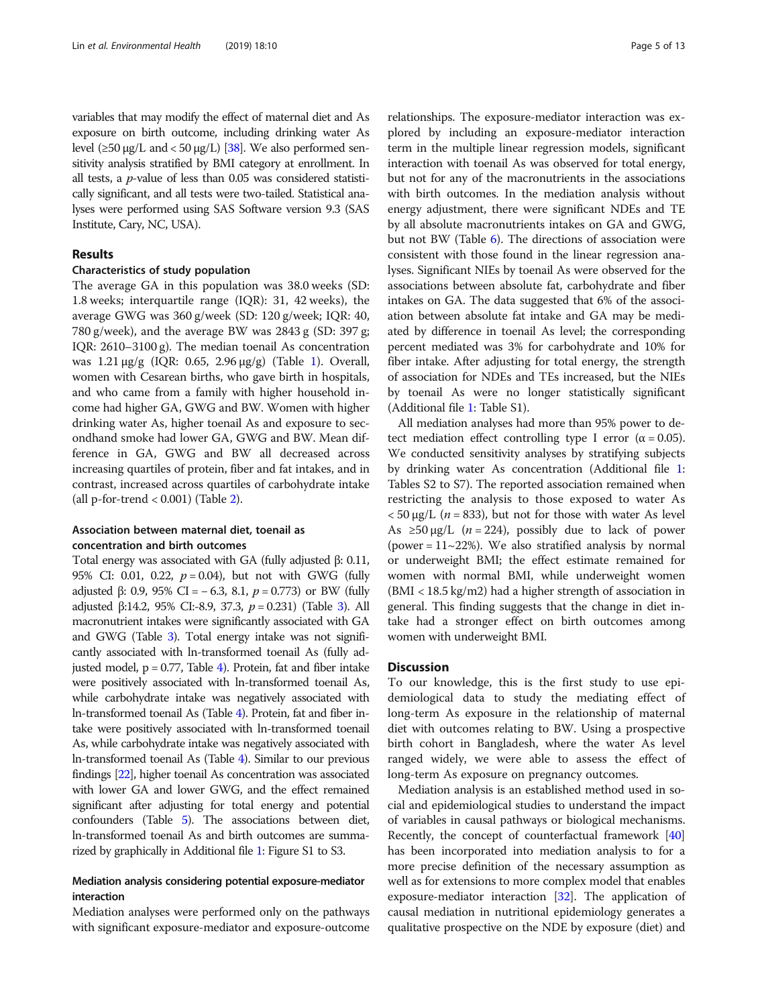variables that may modify the effect of maternal diet and As exposure on birth outcome, including drinking water As level (≥50 μg/L and < 50 μg/L) [\[38](#page-11-0)]. We also performed sensitivity analysis stratified by BMI category at enrollment. In all tests, a p-value of less than 0.05 was considered statistically significant, and all tests were two-tailed. Statistical analyses were performed using SAS Software version 9.3 (SAS Institute, Cary, NC, USA).

# Results

# Characteristics of study population

The average GA in this population was 38.0 weeks (SD: 1.8 weeks; interquartile range (IQR): 31, 42 weeks), the average GWG was 360 g/week (SD: 120 g/week; IQR: 40, 780 g/week), and the average BW was 2843 g (SD: 397 g; IQR: 2610–3100 g). The median toenail As concentration was 1.21 μg/g (IQR: 0.65, 2.96 μg/g) (Table [1\)](#page-5-0). Overall, women with Cesarean births, who gave birth in hospitals, and who came from a family with higher household income had higher GA, GWG and BW. Women with higher drinking water As, higher toenail As and exposure to secondhand smoke had lower GA, GWG and BW. Mean difference in GA, GWG and BW all decreased across increasing quartiles of protein, fiber and fat intakes, and in contrast, increased across quartiles of carbohydrate intake (all p-for-trend < 0.001) (Table [2\)](#page-6-0).

# Association between maternal diet, toenail as concentration and birth outcomes

Total energy was associated with GA (fully adjusted β: 0.11, 95% CI: 0.01, 0.22,  $p = 0.04$ ), but not with GWG (fully adjusted β: 0.9, 95% CI =  $-6.3$ , 8.1,  $p = 0.773$ ) or BW (fully adjusted β:14.2, 95% CI:-8.9, 37.3,  $p = 0.231$ ) (Table [3\)](#page-7-0). All macronutrient intakes were significantly associated with GA and GWG (Table [3](#page-7-0)). Total energy intake was not significantly associated with ln-transformed toenail As (fully adjusted model,  $p = 0.77$ , Table [4](#page-7-0)). Protein, fat and fiber intake were positively associated with ln-transformed toenail As, while carbohydrate intake was negatively associated with ln-transformed toenail As (Table [4](#page-7-0)). Protein, fat and fiber intake were positively associated with ln-transformed toenail As, while carbohydrate intake was negatively associated with ln-transformed toenail As (Table [4\)](#page-7-0). Similar to our previous findings [\[22](#page-11-0)], higher toenail As concentration was associated with lower GA and lower GWG, and the effect remained significant after adjusting for total energy and potential confounders (Table [5\)](#page-8-0). The associations between diet, ln-transformed toenail As and birth outcomes are summarized by graphically in Additional file [1](#page-10-0): Figure S1 to S3.

# Mediation analysis considering potential exposure-mediator interaction

Mediation analyses were performed only on the pathways with significant exposure-mediator and exposure-outcome

relationships. The exposure-mediator interaction was explored by including an exposure-mediator interaction term in the multiple linear regression models, significant interaction with toenail As was observed for total energy, but not for any of the macronutrients in the associations with birth outcomes. In the mediation analysis without energy adjustment, there were significant NDEs and TE by all absolute macronutrients intakes on GA and GWG, but not BW (Table [6](#page-8-0)). The directions of association were consistent with those found in the linear regression analyses. Significant NIEs by toenail As were observed for the associations between absolute fat, carbohydrate and fiber intakes on GA. The data suggested that 6% of the association between absolute fat intake and GA may be mediated by difference in toenail As level; the corresponding percent mediated was 3% for carbohydrate and 10% for fiber intake. After adjusting for total energy, the strength of association for NDEs and TEs increased, but the NIEs by toenail As were no longer statistically significant (Additional file [1](#page-10-0): Table S1).

All mediation analyses had more than 95% power to detect mediation effect controlling type I error ( $\alpha = 0.05$ ). We conducted sensitivity analyses by stratifying subjects by drinking water As concentration (Additional file [1](#page-10-0): Tables S2 to S7). The reported association remained when restricting the analysis to those exposed to water As  $<$  50 μg/L ( $n = 833$ ), but not for those with water As level As  $\geq 50 \,\mu g/L$  (*n* = 224), possibly due to lack of power (power =  $11~22%$ ). We also stratified analysis by normal or underweight BMI; the effect estimate remained for women with normal BMI, while underweight women (BMI < 18.5 kg/m2) had a higher strength of association in general. This finding suggests that the change in diet intake had a stronger effect on birth outcomes among women with underweight BMI.

## **Discussion**

To our knowledge, this is the first study to use epidemiological data to study the mediating effect of long-term As exposure in the relationship of maternal diet with outcomes relating to BW. Using a prospective birth cohort in Bangladesh, where the water As level ranged widely, we were able to assess the effect of long-term As exposure on pregnancy outcomes.

Mediation analysis is an established method used in social and epidemiological studies to understand the impact of variables in causal pathways or biological mechanisms. Recently, the concept of counterfactual framework [[40](#page-11-0)] has been incorporated into mediation analysis to for a more precise definition of the necessary assumption as well as for extensions to more complex model that enables exposure-mediator interaction [\[32\]](#page-11-0). The application of causal mediation in nutritional epidemiology generates a qualitative prospective on the NDE by exposure (diet) and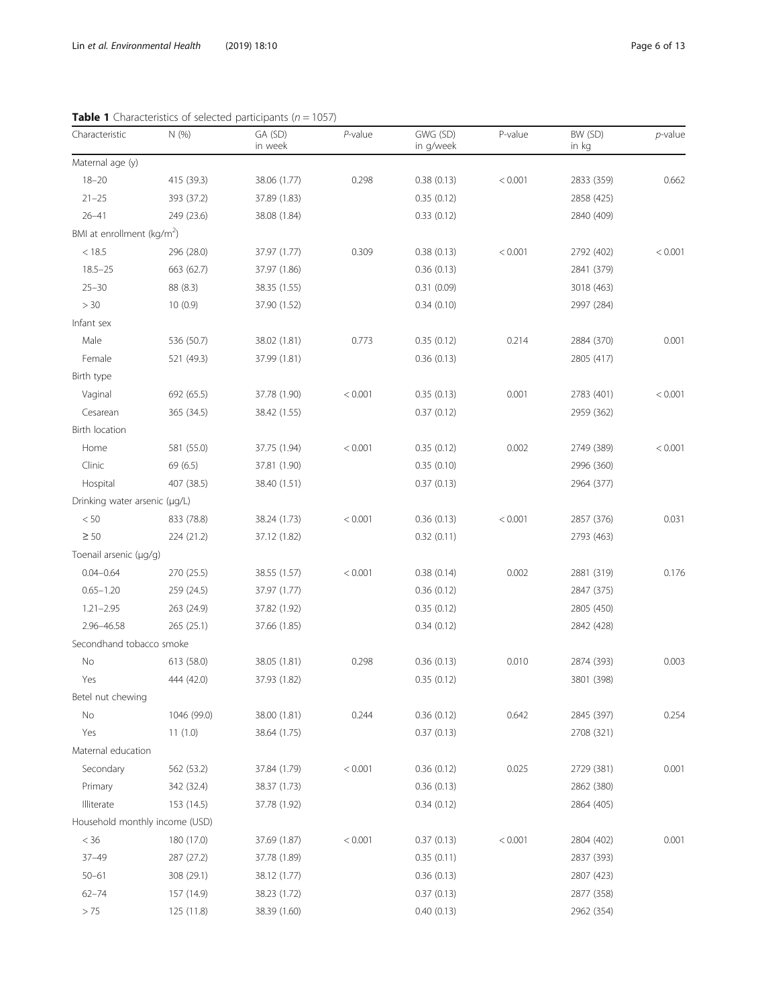| Characteristic                 | N (%)       | GA (SD)<br>in week | $P$ -value | GWG (SD)<br>in g/week | P-value | BW (SD)<br>in kg | $p$ -value |
|--------------------------------|-------------|--------------------|------------|-----------------------|---------|------------------|------------|
| Maternal age (y)               |             |                    |            |                       |         |                  |            |
| $18 - 20$                      | 415 (39.3)  | 38.06 (1.77)       | 0.298      | 0.38(0.13)            | < 0.001 | 2833 (359)       | 0.662      |
| $21 - 25$                      | 393 (37.2)  | 37.89 (1.83)       |            | 0.35(0.12)            |         | 2858 (425)       |            |
| $26 - 41$                      | 249 (23.6)  | 38.08 (1.84)       |            | 0.33(0.12)            |         | 2840 (409)       |            |
| BMI at enrollment ( $kg/m2$ )  |             |                    |            |                       |         |                  |            |
| < 18.5                         | 296 (28.0)  | 37.97 (1.77)       | 0.309      | 0.38(0.13)            | < 0.001 | 2792 (402)       | < 0.001    |
| $18.5 - 25$                    | 663 (62.7)  | 37.97 (1.86)       |            | 0.36(0.13)            |         | 2841 (379)       |            |
| $25 - 30$                      | 88 (8.3)    | 38.35 (1.55)       |            | 0.31(0.09)            |         | 3018 (463)       |            |
| >30                            | 10(0.9)     | 37.90 (1.52)       |            | 0.34(0.10)            |         | 2997 (284)       |            |
| Infant sex                     |             |                    |            |                       |         |                  |            |
| Male                           | 536 (50.7)  | 38.02 (1.81)       | 0.773      | 0.35(0.12)            | 0.214   | 2884 (370)       | 0.001      |
| Female                         | 521 (49.3)  | 37.99 (1.81)       |            | 0.36(0.13)            |         | 2805 (417)       |            |
| Birth type                     |             |                    |            |                       |         |                  |            |
| Vaginal                        | 692 (65.5)  | 37.78 (1.90)       | < 0.001    | 0.35(0.13)            | 0.001   | 2783 (401)       | < 0.001    |
| Cesarean                       | 365 (34.5)  | 38.42 (1.55)       |            | 0.37(0.12)            |         | 2959 (362)       |            |
| Birth location                 |             |                    |            |                       |         |                  |            |
| Home                           | 581 (55.0)  | 37.75 (1.94)       | < 0.001    | 0.35(0.12)            | 0.002   | 2749 (389)       | < 0.001    |
| Clinic                         | 69 (6.5)    | 37.81 (1.90)       |            | 0.35(0.10)            |         | 2996 (360)       |            |
| Hospital                       | 407 (38.5)  | 38.40 (1.51)       |            | 0.37(0.13)            |         | 2964 (377)       |            |
| Drinking water arsenic (µg/L)  |             |                    |            |                       |         |                  |            |
| < 50                           | 833 (78.8)  | 38.24 (1.73)       | < 0.001    | 0.36(0.13)            | < 0.001 | 2857 (376)       | 0.031      |
| $\geq 50$                      | 224 (21.2)  | 37.12 (1.82)       |            | 0.32(0.11)            |         | 2793 (463)       |            |
| Toenail arsenic (µg/g)         |             |                    |            |                       |         |                  |            |
| $0.04 - 0.64$                  | 270 (25.5)  | 38.55 (1.57)       | < 0.001    | 0.38(0.14)            | 0.002   | 2881 (319)       | 0.176      |
| $0.65 - 1.20$                  | 259 (24.5)  | 37.97 (1.77)       |            | 0.36(0.12)            |         | 2847 (375)       |            |
| $1.21 - 2.95$                  | 263 (24.9)  | 37.82 (1.92)       |            | 0.35(0.12)            |         | 2805 (450)       |            |
| 2.96-46.58                     | 265 (25.1)  | 37.66 (1.85)       |            | 0.34(0.12)            |         | 2842 (428)       |            |
| Secondhand tobacco smoke       |             |                    |            |                       |         |                  |            |
| No                             | 613 (58.0)  | 38.05 (1.81)       | 0.298      | 0.36(0.13)            | 0.010   | 2874 (393)       | 0.003      |
| Yes                            | 444 (42.0)  | 37.93 (1.82)       |            | 0.35(0.12)            |         | 3801 (398)       |            |
| Betel nut chewing              |             |                    |            |                       |         |                  |            |
| No                             | 1046 (99.0) | 38.00 (1.81)       | 0.244      | 0.36(0.12)            | 0.642   | 2845 (397)       | 0.254      |
| Yes                            | 11(1.0)     | 38.64 (1.75)       |            | 0.37(0.13)            |         | 2708 (321)       |            |
| Maternal education             |             |                    |            |                       |         |                  |            |
| Secondary                      | 562 (53.2)  | 37.84 (1.79)       | < 0.001    | 0.36(0.12)            | 0.025   | 2729 (381)       | 0.001      |
| Primary                        | 342 (32.4)  | 38.37 (1.73)       |            | 0.36(0.13)            |         | 2862 (380)       |            |
| Illiterate                     | 153 (14.5)  | 37.78 (1.92)       |            | 0.34(0.12)            |         | 2864 (405)       |            |
| Household monthly income (USD) |             |                    |            |                       |         |                  |            |
| $< 36$                         | 180 (17.0)  | 37.69 (1.87)       | < 0.001    | 0.37(0.13)            | < 0.001 | 2804 (402)       | 0.001      |
| $37 - 49$                      | 287 (27.2)  | 37.78 (1.89)       |            | 0.35(0.11)            |         | 2837 (393)       |            |
| $50 - 61$                      | 308 (29.1)  | 38.12 (1.77)       |            | 0.36(0.13)            |         | 2807 (423)       |            |
| $62 - 74$                      | 157 (14.9)  | 38.23 (1.72)       |            | 0.37(0.13)            |         | 2877 (358)       |            |
| > 75                           | 125 (11.8)  | 38.39 (1.60)       |            | 0.40(0.13)            |         | 2962 (354)       |            |

# <span id="page-5-0"></span>**Table 1** Characteristics of selected participants ( $n = 1057$ )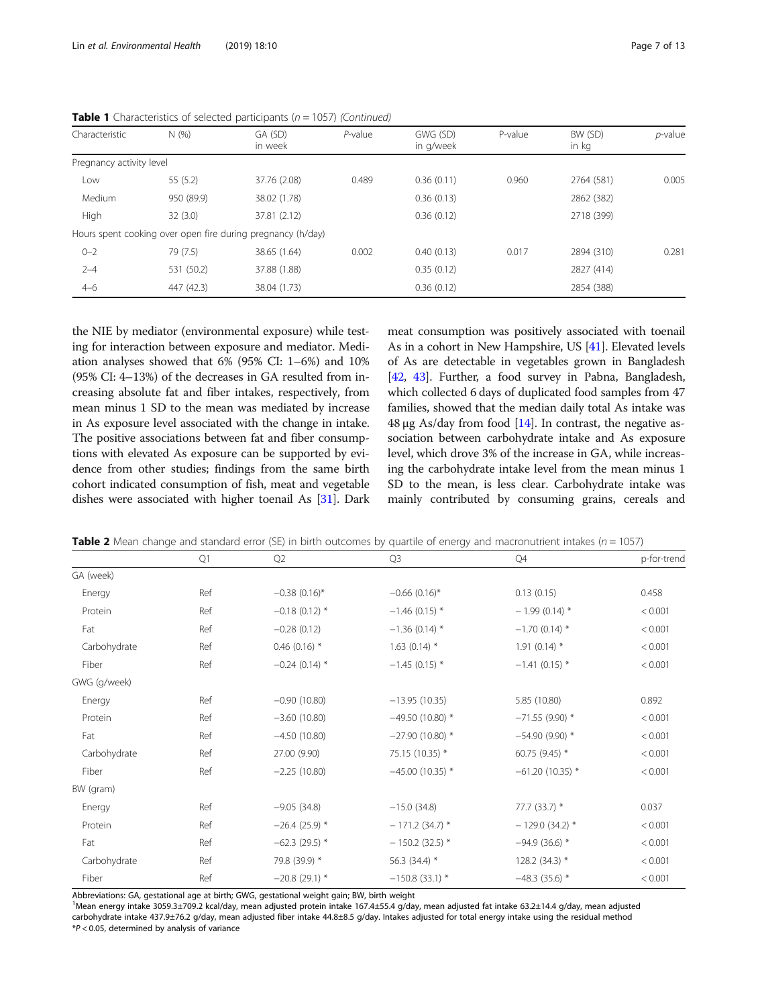| Characteristic           | N(%)       | GA (SD)                                                     | $P$ -value | GWG (SD)   | P-value | BW (SD)    | $p$ -value |
|--------------------------|------------|-------------------------------------------------------------|------------|------------|---------|------------|------------|
|                          |            | in week                                                     |            | in g/week  |         | in kg      |            |
| Pregnancy activity level |            |                                                             |            |            |         |            |            |
| Low                      | 55(5.2)    | 37.76 (2.08)                                                | 0.489      | 0.36(0.11) | 0.960   | 2764 (581) | 0.005      |
| Medium                   | 950 (89.9) | 38.02 (1.78)                                                |            | 0.36(0.13) |         | 2862 (382) |            |
| High                     | 32(3.0)    | 37.81 (2.12)                                                |            | 0.36(0.12) |         | 2718 (399) |            |
|                          |            | Hours spent cooking over open fire during pregnancy (h/day) |            |            |         |            |            |
| $0 - 2$                  | 79 (7.5)   | 38.65 (1.64)                                                | 0.002      | 0.40(0.13) | 0.017   | 2894 (310) | 0.281      |
| $2 - 4$                  | 531 (50.2) | 37.88 (1.88)                                                |            | 0.35(0.12) |         | 2827 (414) |            |
| $4 - 6$                  | 447 (42.3) | 38.04 (1.73)                                                |            | 0.36(0.12) |         | 2854 (388) |            |

<span id="page-6-0"></span>**Table 1** Characteristics of selected participants ( $n = 1057$ ) (Continued)

the NIE by mediator (environmental exposure) while testing for interaction between exposure and mediator. Mediation analyses showed that 6% (95% CI: 1–6%) and 10% (95% CI: 4–13%) of the decreases in GA resulted from increasing absolute fat and fiber intakes, respectively, from mean minus 1 SD to the mean was mediated by increase in As exposure level associated with the change in intake. The positive associations between fat and fiber consumptions with elevated As exposure can be supported by evidence from other studies; findings from the same birth cohort indicated consumption of fish, meat and vegetable dishes were associated with higher toenail As [\[31\]](#page-11-0). Dark

meat consumption was positively associated with toenail As in a cohort in New Hampshire, US [\[41\]](#page-11-0). Elevated levels of As are detectable in vegetables grown in Bangladesh [[42](#page-11-0), [43](#page-12-0)]. Further, a food survey in Pabna, Bangladesh, which collected 6 days of duplicated food samples from 47 families, showed that the median daily total As intake was  $48 \mu$ g As/day from food [\[14\]](#page-11-0). In contrast, the negative association between carbohydrate intake and As exposure level, which drove 3% of the increase in GA, while increasing the carbohydrate intake level from the mean minus 1 SD to the mean, is less clear. Carbohydrate intake was mainly contributed by consuming grains, cereals and

**Table 2** Mean change and standard error (SF) in birth outcomes by quartile of energy and macronutrient intakes ( $n = 1057$ )

|              | Q1  | Q2               | Q <sub>3</sub>    | Q4                | p-for-trend |
|--------------|-----|------------------|-------------------|-------------------|-------------|
| GA (week)    |     |                  |                   |                   |             |
| Energy       | Ref | $-0.38(0.16)$ *  | $-0.66$ (0.16)*   | 0.13(0.15)        | 0.458       |
| Protein      | Ref | $-0.18(0.12)$ *  | $-1.46$ (0.15) *  | $-1.99(0.14)$ *   | < 0.001     |
| Fat          | Ref | $-0.28(0.12)$    | $-1.36$ (0.14) *  | $-1.70(0.14)$ *   | < 0.001     |
| Carbohydrate | Ref | $0.46(0.16)$ *   | $1.63$ (0.14) *   | $1.91(0.14)$ *    | < 0.001     |
| Fiber        | Ref | $-0.24(0.14)$ *  | $-1.45$ (0.15) *  | $-1.41(0.15)$ *   | < 0.001     |
| GWG (g/week) |     |                  |                   |                   |             |
| Energy       | Ref | $-0.90(10.80)$   | $-13.95(10.35)$   | 5.85 (10.80)      | 0.892       |
| Protein      | Ref | $-3.60(10.80)$   | $-49.50(10.80)$ * | $-71.55(9.90)$ *  | < 0.001     |
| Fat          | Ref | $-4.50(10.80)$   | $-27.90(10.80)$ * | $-54.90(9.90)$ *  | < 0.001     |
| Carbohydrate | Ref | 27.00 (9.90)     | 75.15 (10.35) *   | 60.75 (9.45) $*$  | < 0.001     |
| Fiber        | Ref | $-2.25(10.80)$   | $-45.00(10.35)$ * | $-61.20(10.35)$ * | < 0.001     |
| BW (gram)    |     |                  |                   |                   |             |
| Energy       | Ref | $-9.05(34.8)$    | $-15.0(34.8)$     | $77.7(33.7)$ *    | 0.037       |
| Protein      | Ref | $-26.4(25.9)$ *  | $-171.2(34.7)$ *  | $-129.0(34.2)$ *  | < 0.001     |
| Fat          | Ref | $-62.3$ (29.5) * | $-150.2(32.5)$ *  | $-94.9(36.6)$ *   | < 0.001     |
| Carbohydrate | Ref | 79.8 (39.9) *    | 56.3 (34.4) *     | 128.2 (34.3) *    | < 0.001     |
| Fiber        | Ref | $-20.8$ (29.1) * | $-150.8(33.1)$ *  | $-48.3$ (35.6) *  | < 0.001     |

Abbreviations: GA, gestational age at birth; GWG, gestational weight gain; BW, birth weight

1 Mean energy intake 3059.3±709.2 kcal/day, mean adjusted protein intake 167.4±55.4 g/day, mean adjusted fat intake 63.2±14.4 g/day, mean adjusted carbohydrate intake 437.9±76.2 g/day, mean adjusted fiber intake 44.8±8.5 g/day. Intakes adjusted for total energy intake using the residual method  $*P$  < 0.05, determined by analysis of variance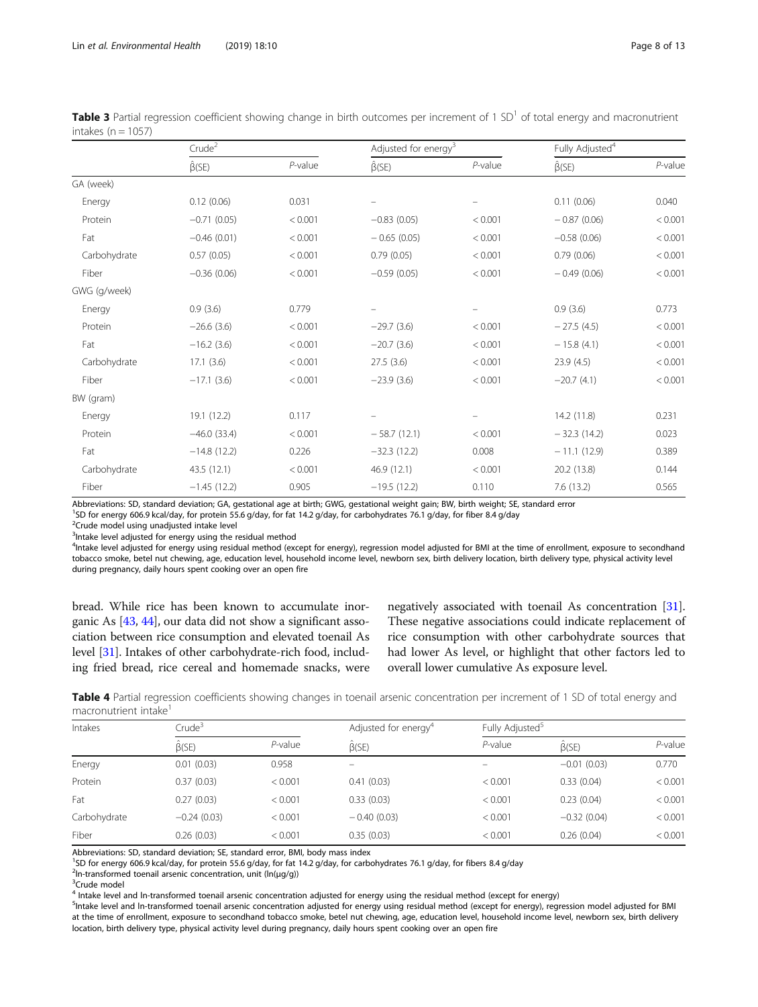|              | Crude <sup>2</sup> |            | Adjusted for energy <sup>3</sup> |            | Fully Adjusted <sup>4</sup> |            |
|--------------|--------------------|------------|----------------------------------|------------|-----------------------------|------------|
|              | $\hat{\beta}$ (SE) | $P$ -value | $\hat{\beta}$ (SE)               | $P$ -value | $\hat{\beta}$ (SE)          | $P$ -value |
| GA (week)    |                    |            |                                  |            |                             |            |
| Energy       | 0.12(0.06)         | 0.031      |                                  |            | 0.11(0.06)                  | 0.040      |
| Protein      | $-0.71(0.05)$      | < 0.001    | $-0.83(0.05)$                    | < 0.001    | $-0.87(0.06)$               | < 0.001    |
| Fat          | $-0.46(0.01)$      | < 0.001    | $-0.65(0.05)$                    | < 0.001    | $-0.58(0.06)$               | < 0.001    |
| Carbohydrate | 0.57(0.05)         | < 0.001    | 0.79(0.05)                       | < 0.001    | 0.79(0.06)                  | < 0.001    |
| Fiber        | $-0.36(0.06)$      | < 0.001    | $-0.59(0.05)$                    | < 0.001    | $-0.49(0.06)$               | < 0.001    |
| GWG (g/week) |                    |            |                                  |            |                             |            |
| Energy       | 0.9(3.6)           | 0.779      |                                  |            | 0.9(3.6)                    | 0.773      |
| Protein      | $-26.6(3.6)$       | < 0.001    | $-29.7(3.6)$                     | < 0.001    | $-27.5(4.5)$                | < 0.001    |
| Fat          | $-16.2(3.6)$       | < 0.001    | $-20.7(3.6)$                     | < 0.001    | $-15.8(4.1)$                | < 0.001    |
| Carbohydrate | 17.1(3.6)          | < 0.001    | 27.5(3.6)                        | < 0.001    | 23.9(4.5)                   | < 0.001    |
| Fiber        | $-17.1(3.6)$       | < 0.001    | $-23.9(3.6)$                     | < 0.001    | $-20.7(4.1)$                | < 0.001    |
| BW (gram)    |                    |            |                                  |            |                             |            |
| Energy       | 19.1 (12.2)        | 0.117      |                                  |            | 14.2 (11.8)                 | 0.231      |
| Protein      | $-46.0(33.4)$      | < 0.001    | $-58.7(12.1)$                    | < 0.001    | $-32.3(14.2)$               | 0.023      |
| Fat          | $-14.8(12.2)$      | 0.226      | $-32.3(12.2)$                    | 0.008      | $-11.1(12.9)$               | 0.389      |
| Carbohydrate | 43.5(12.1)         | < 0.001    | 46.9(12.1)                       | < 0.001    | 20.2 (13.8)                 | 0.144      |
| Fiber        | $-1.45(12.2)$      | 0.905      | $-19.5(12.2)$                    | 0.110      | 7.6(13.2)                   | 0.565      |

<span id="page-7-0"></span>Table 3 Partial regression coefficient showing change in birth outcomes per increment of 1 SD<sup>1</sup> of total energy and macronutrient intakes ( $n = 1057$ )

Abbreviations: SD, standard deviation; GA, gestational age at birth; GWG, gestational weight gain; BW, birth weight; SE, standard error

1 SD for energy 606.9 kcal/day, for protein 55.6 g/day, for fat 14.2 g/day, for carbohydrates 76.1 g/day, for fiber 8.4 g/day

<sup>2</sup> Crude model using unadjusted intake level

<sup>3</sup>Intake level adjusted for energy using the residual method

4 Intake level adjusted for energy using residual method (except for energy), regression model adjusted for BMI at the time of enrollment, exposure to secondhand tobacco smoke, betel nut chewing, age, education level, household income level, newborn sex, birth delivery location, birth delivery type, physical activity level during pregnancy, daily hours spent cooking over an open fire

bread. While rice has been known to accumulate inorganic As [[43](#page-12-0), [44\]](#page-12-0), our data did not show a significant association between rice consumption and elevated toenail As level [[31](#page-11-0)]. Intakes of other carbohydrate-rich food, including fried bread, rice cereal and homemade snacks, were negatively associated with toenail As concentration [[31](#page-11-0)]. These negative associations could indicate replacement of rice consumption with other carbohydrate sources that had lower As level, or highlight that other factors led to overall lower cumulative As exposure level.

Table 4 Partial regression coefficients showing changes in toenail arsenic concentration per increment of 1 SD of total energy and macronutrient intake<sup>1</sup>

| Intakes      | Crude <sup>3</sup> |            | Adjusted for energy <sup>4</sup> |                            | Fully Adjusted <sup>5</sup> |         |  |
|--------------|--------------------|------------|----------------------------------|----------------------------|-----------------------------|---------|--|
|              | $\beta$ (SE)       | $P$ -value | $\hat{\beta}$ (SE)               | $P$ -value                 | $\beta$ (SE)                | P-value |  |
| Energy       | 0.01(0.03)         | 0.958      | -                                | $\qquad \qquad \  \  \, -$ | $-0.01(0.03)$               | 0.770   |  |
| Protein      | 0.37(0.03)         | < 0.001    | 0.41(0.03)                       | < 0.001                    | 0.33(0.04)                  | < 0.001 |  |
| Fat          | 0.27(0.03)         | < 0.001    | 0.33(0.03)                       | < 0.001                    | 0.23(0.04)                  | < 0.001 |  |
| Carbohydrate | $-0.24(0.03)$      | < 0.001    | $-0.40(0.03)$                    | < 0.001                    | $-0.32(0.04)$               | < 0.001 |  |
| Fiber        | 0.26(0.03)         | < 0.001    | 0.35(0.03)                       | < 0.001                    | 0.26(0.04)                  | < 0.001 |  |

Abbreviations: SD, standard deviation; SE, standard error, BMI, body mass index

1 SD for energy 606.9 kcal/day, for protein 55.6 g/day, for fat 14.2 g/day, for carbohydrates 76.1 g/day, for fibers 8.4 g/day

<sup>2</sup>In-transformed toenail arsenic concentration, unit (ln(μg/g)) <sup>3</sup>Crude model

<sup>3</sup>Crude model

<sup>4</sup> Intake level and ln-transformed toenail arsenic concentration adjusted for energy using the residual method (except for energy)

<sup>5</sup>Intake level and In-transformed toenail arsenic concentration adjusted for energy using residual method (except for energy), regression model adjusted for BMI at the time of enrollment, exposure to secondhand tobacco smoke, betel nut chewing, age, education level, household income level, newborn sex, birth delivery location, birth delivery type, physical activity level during pregnancy, daily hours spent cooking over an open fire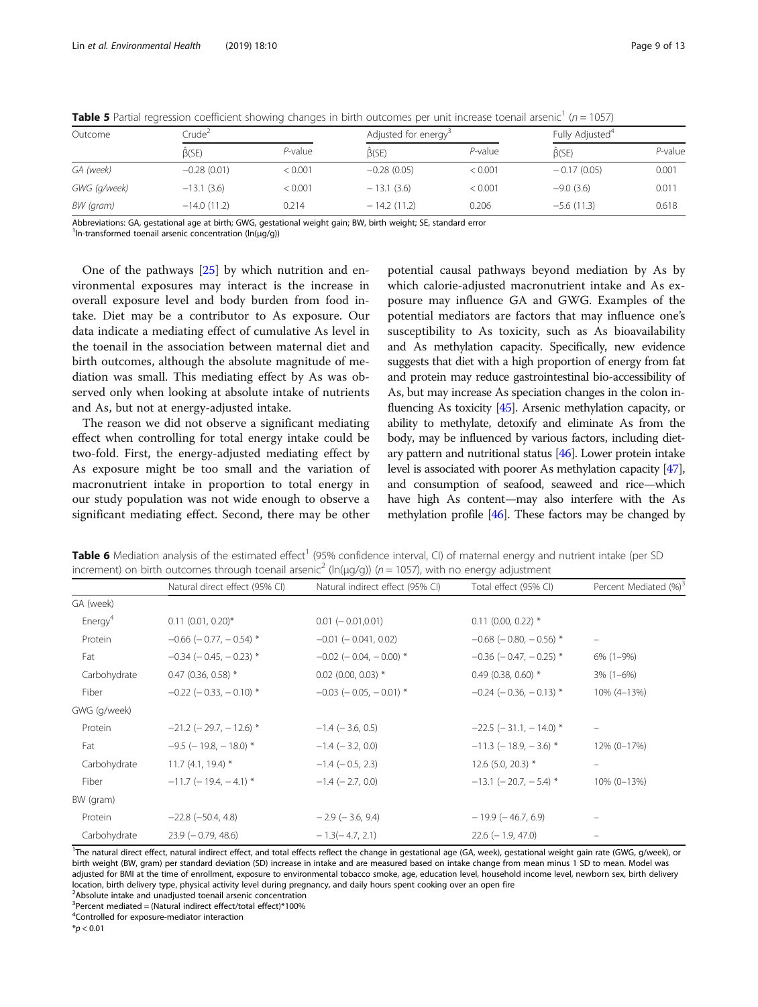| Outcome      | Crude $^2$    |            | Adjusted for energy <sup>3</sup> |            | Fully Adjusted <sup>4</sup> |            |
|--------------|---------------|------------|----------------------------------|------------|-----------------------------|------------|
|              | $\beta$ (SE)  | $P$ -value | $\beta$ (SE)                     | $P$ -value | β(SE)                       | $P$ -value |
| GA (week)    | $-0.28(0.01)$ | < 0.001    | $-0.28(0.05)$                    | < 0.001    | $-0.17(0.05)$               | 0.001      |
| GWG (g/week) | $-13.1(3.6)$  | < 0.001    | $-13.1(3.6)$                     | < 0.001    | $-9.0(3.6)$                 | 0.011      |
| BW (gram)    | $-14.0(11.2)$ | 0.214      | $-14.2(11.2)$                    | 0.206      | $-5.6(11.3)$                | 0.618      |

<span id="page-8-0"></span>**Table 5** Partial regression coefficient showing changes in birth outcomes per unit increase toenail arsenic<sup>1</sup> (n = 1057)

Abbreviations: GA, gestational age at birth; GWG, gestational weight gain; BW, birth weight; SE, standard error

<sup>1</sup>In-transformed toenail arsenic concentration (ln(μg/g))

One of the pathways [\[25](#page-11-0)] by which nutrition and environmental exposures may interact is the increase in overall exposure level and body burden from food intake. Diet may be a contributor to As exposure. Our data indicate a mediating effect of cumulative As level in the toenail in the association between maternal diet and birth outcomes, although the absolute magnitude of mediation was small. This mediating effect by As was observed only when looking at absolute intake of nutrients and As, but not at energy-adjusted intake.

The reason we did not observe a significant mediating effect when controlling for total energy intake could be two-fold. First, the energy-adjusted mediating effect by As exposure might be too small and the variation of macronutrient intake in proportion to total energy in our study population was not wide enough to observe a significant mediating effect. Second, there may be other

potential causal pathways beyond mediation by As by which calorie-adjusted macronutrient intake and As exposure may influence GA and GWG. Examples of the potential mediators are factors that may influence one's susceptibility to As toxicity, such as As bioavailability and As methylation capacity. Specifically, new evidence suggests that diet with a high proportion of energy from fat and protein may reduce gastrointestinal bio-accessibility of As, but may increase As speciation changes in the colon influencing As toxicity [[45](#page-12-0)]. Arsenic methylation capacity, or ability to methylate, detoxify and eliminate As from the body, may be influenced by various factors, including dietary pattern and nutritional status [\[46\]](#page-12-0). Lower protein intake level is associated with poorer As methylation capacity [\[47](#page-12-0)], and consumption of seafood, seaweed and rice—which have high As content—may also interfere with the As methylation profile [\[46\]](#page-12-0). These factors may be changed by

Table 6 Mediation analysis of the estimated effect<sup>1</sup> (95% confidence interval, CI) of maternal energy and nutrient intake (per SD  $\frac{1}{2}$  increment) on birth outcomes through toenail arsenic<sup>2</sup> ( $\frac{1}{2}$ ( $\frac{1}{2}$ ( $\frac{1}{2}$ ( $\frac{1}{2}$ ( $\frac{1}{2}$ ( $\frac{1}{2}$ )), with no energy adjustment

|                     | merchiefly on bindi outcomes dirough tochair alseme (miguyuy) (n = 1037), what no chergy aujustment |                                  |                                 |                                   |  |  |  |
|---------------------|-----------------------------------------------------------------------------------------------------|----------------------------------|---------------------------------|-----------------------------------|--|--|--|
|                     | Natural direct effect (95% CI)                                                                      | Natural indirect effect (95% CI) | Total effect (95% CI)           | Percent Mediated (%) <sup>3</sup> |  |  |  |
| GA (week)           |                                                                                                     |                                  |                                 |                                   |  |  |  |
| Eneray <sup>4</sup> | $0.11$ (0.01, 0.20)*                                                                                | $0.01$ ( $-0.01,0.01$ )          | $0.11$ (0.00, 0.22) *           |                                   |  |  |  |
| Protein             | $-0.66$ ( $-0.77$ , $-0.54$ ) *                                                                     | $-0.01$ ( $-0.041$ , 0.02)       | $-0.68$ ( $-0.80$ , $-0.56$ ) * |                                   |  |  |  |
| Fat                 | $-0.34$ ( $-0.45$ , $-0.23$ ) *                                                                     | $-0.02$ ( $-0.04$ , $-0.00$ ) *  | $-0.36$ ( $-0.47$ , $-0.25$ ) * | $6\%$ (1-9%)                      |  |  |  |
| Carbohydrate        | $0.47$ (0.36, 0.58) *                                                                               | $0.02$ (0.00, 0.03) *            | 0.49 (0.38, 0.60) $*$           | $3\%$ (1-6%)                      |  |  |  |
| Fiber               | $-0.22$ ( $-0.33$ , $-0.10$ ) *                                                                     | $-0.03$ ( $-0.05$ , $-0.01$ ) *  | $-0.24$ ( $-0.36$ , $-0.13$ ) * | 10% (4-13%)                       |  |  |  |
| GWG (g/week)        |                                                                                                     |                                  |                                 |                                   |  |  |  |
| Protein             | $-21.2$ ( $-29.7$ , $-12.6$ ) *                                                                     | $-1.4$ ( $-3.6$ , 0.5)           | $-22.5$ ( $-31.1$ , $-14.0$ ) * |                                   |  |  |  |
| Fat                 | $-9.5$ ( $-19.8$ , $-18.0$ ) *                                                                      | $-1.4$ ( $-3.2$ , 0.0)           | $-11.3$ (-18.9, -3.6) *         | 12% (0-17%)                       |  |  |  |
| Carbohydrate        | $11.7(4.1, 19.4)$ *                                                                                 | $-1.4$ ( $-0.5$ , 2.3)           | $12.6$ (5.0, 20.3) $*$          |                                   |  |  |  |
| Fiber               | $-11.7$ (-19.4. -4.1) *                                                                             | $-1.4$ ( $-2.7$ , 0.0)           | $-13.1$ (-20.7, -5.4) *         | 10% (0-13%)                       |  |  |  |
| BW (gram)           |                                                                                                     |                                  |                                 |                                   |  |  |  |
| Protein             | $-22.8$ ( $-50.4$ , 4.8)                                                                            | $-2.9$ ( $-3.6$ , 9.4)           | $-19.9$ ( $-46.7, 6.9$ )        |                                   |  |  |  |
| Carbohydrate        | $23.9$ ( $-0.79$ , 48.6)                                                                            | $-1.3(-4.7, 2.1)$                | $22.6$ ( $-1.9, 47.0$ )         |                                   |  |  |  |

<sup>1</sup>The natural direct effect, natural indirect effect, and total effects reflect the change in gestational age (GA, week), gestational weight gain rate (GWG, g/week), or birth weight (BW, gram) per standard deviation (SD) increase in intake and are measured based on intake change from mean minus 1 SD to mean. Model was adjusted for BMI at the time of enrollment, exposure to environmental tobacco smoke, age, education level, household income level, newborn sex, birth delivery location, birth delivery type, physical activity level during pregnancy, and daily hours spent cooking over an open fire

<sup>2</sup> Absolute intake and unadjusted toenail arsenic concentration

<sup>3</sup>Percent mediated = (Natural indirect effect/total effect)\*100%

<sup>4</sup> Controlled for exposure-mediator interaction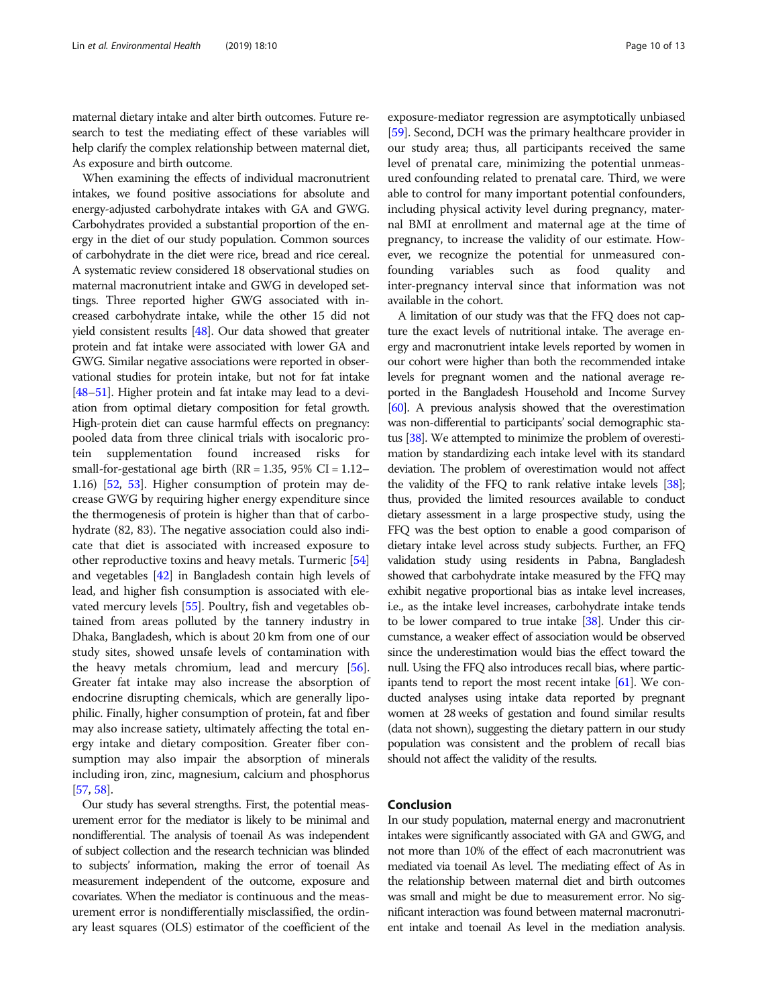maternal dietary intake and alter birth outcomes. Future research to test the mediating effect of these variables will help clarify the complex relationship between maternal diet, As exposure and birth outcome.

When examining the effects of individual macronutrient intakes, we found positive associations for absolute and energy-adjusted carbohydrate intakes with GA and GWG. Carbohydrates provided a substantial proportion of the energy in the diet of our study population. Common sources of carbohydrate in the diet were rice, bread and rice cereal. A systematic review considered 18 observational studies on maternal macronutrient intake and GWG in developed settings. Three reported higher GWG associated with increased carbohydrate intake, while the other 15 did not yield consistent results [\[48\]](#page-12-0). Our data showed that greater protein and fat intake were associated with lower GA and GWG. Similar negative associations were reported in observational studies for protein intake, but not for fat intake [[48](#page-12-0)–[51](#page-12-0)]. Higher protein and fat intake may lead to a deviation from optimal dietary composition for fetal growth. High-protein diet can cause harmful effects on pregnancy: pooled data from three clinical trials with isocaloric protein supplementation found increased risks for small-for-gestational age birth ( $RR = 1.35$ , 95% CI = 1.12– 1.16) [\[52,](#page-12-0) [53](#page-12-0)]. Higher consumption of protein may decrease GWG by requiring higher energy expenditure since the thermogenesis of protein is higher than that of carbohydrate (82, 83). The negative association could also indicate that diet is associated with increased exposure to other reproductive toxins and heavy metals. Turmeric [[54](#page-12-0)] and vegetables [\[42\]](#page-11-0) in Bangladesh contain high levels of lead, and higher fish consumption is associated with elevated mercury levels [[55](#page-12-0)]. Poultry, fish and vegetables obtained from areas polluted by the tannery industry in Dhaka, Bangladesh, which is about 20 km from one of our study sites, showed unsafe levels of contamination with the heavy metals chromium, lead and mercury [[56](#page-12-0)]. Greater fat intake may also increase the absorption of endocrine disrupting chemicals, which are generally lipophilic. Finally, higher consumption of protein, fat and fiber may also increase satiety, ultimately affecting the total energy intake and dietary composition. Greater fiber consumption may also impair the absorption of minerals including iron, zinc, magnesium, calcium and phosphorus [[57](#page-12-0), [58\]](#page-12-0).

Our study has several strengths. First, the potential measurement error for the mediator is likely to be minimal and nondifferential. The analysis of toenail As was independent of subject collection and the research technician was blinded to subjects' information, making the error of toenail As measurement independent of the outcome, exposure and covariates. When the mediator is continuous and the measurement error is nondifferentially misclassified, the ordinary least squares (OLS) estimator of the coefficient of the

exposure-mediator regression are asymptotically unbiased [[59](#page-12-0)]. Second, DCH was the primary healthcare provider in our study area; thus, all participants received the same level of prenatal care, minimizing the potential unmeasured confounding related to prenatal care. Third, we were able to control for many important potential confounders, including physical activity level during pregnancy, maternal BMI at enrollment and maternal age at the time of pregnancy, to increase the validity of our estimate. However, we recognize the potential for unmeasured confounding variables such as food quality and inter-pregnancy interval since that information was not available in the cohort.

A limitation of our study was that the FFQ does not capture the exact levels of nutritional intake. The average energy and macronutrient intake levels reported by women in our cohort were higher than both the recommended intake levels for pregnant women and the national average reported in the Bangladesh Household and Income Survey [[60\]](#page-12-0). A previous analysis showed that the overestimation was non-differential to participants' social demographic status [[38](#page-11-0)]. We attempted to minimize the problem of overestimation by standardizing each intake level with its standard deviation. The problem of overestimation would not affect the validity of the FFQ to rank relative intake levels [\[38](#page-11-0)]; thus, provided the limited resources available to conduct dietary assessment in a large prospective study, using the FFQ was the best option to enable a good comparison of dietary intake level across study subjects. Further, an FFQ validation study using residents in Pabna, Bangladesh showed that carbohydrate intake measured by the FFQ may exhibit negative proportional bias as intake level increases, i.e., as the intake level increases, carbohydrate intake tends to be lower compared to true intake [\[38\]](#page-11-0). Under this circumstance, a weaker effect of association would be observed since the underestimation would bias the effect toward the null. Using the FFQ also introduces recall bias, where participants tend to report the most recent intake [\[61](#page-12-0)]. We conducted analyses using intake data reported by pregnant women at 28 weeks of gestation and found similar results (data not shown), suggesting the dietary pattern in our study population was consistent and the problem of recall bias should not affect the validity of the results.

# Conclusion

In our study population, maternal energy and macronutrient intakes were significantly associated with GA and GWG, and not more than 10% of the effect of each macronutrient was mediated via toenail As level. The mediating effect of As in the relationship between maternal diet and birth outcomes was small and might be due to measurement error. No significant interaction was found between maternal macronutrient intake and toenail As level in the mediation analysis.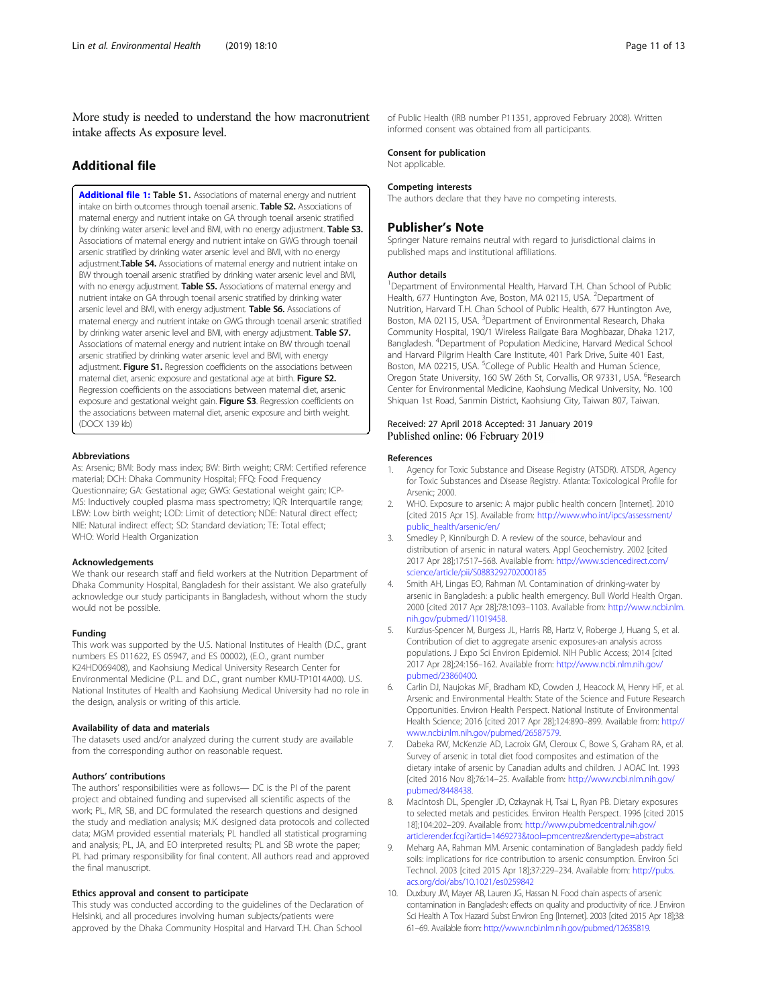<span id="page-10-0"></span>More study is needed to understand the how macronutrient intake affects As exposure level.

# Additional file

[Additional file 1:](https://doi.org/10.1186/s12940-019-0450-1) Table S1. Associations of maternal energy and nutrient intake on birth outcomes through toenail arsenic. Table S2. Associations of maternal energy and nutrient intake on GA through toenail arsenic stratified by drinking water arsenic level and BMI, with no energy adjustment. Table S3. Associations of maternal energy and nutrient intake on GWG through toenail arsenic stratified by drinking water arsenic level and BMI, with no energy adjustment.Table S4. Associations of maternal energy and nutrient intake on BW through toenail arsenic stratified by drinking water arsenic level and BMI, with no energy adjustment. Table S5. Associations of maternal energy and nutrient intake on GA through toenail arsenic stratified by drinking water arsenic level and BMI, with energy adjustment. Table S6. Associations of maternal energy and nutrient intake on GWG through toenail arsenic stratified by drinking water arsenic level and BMI, with energy adjustment. Table S7. Associations of maternal energy and nutrient intake on BW through toenail arsenic stratified by drinking water arsenic level and BMI, with energy adjustment. Figure S1. Regression coefficients on the associations between maternal diet, arsenic exposure and gestational age at birth. Figure S2. Regression coefficients on the associations between maternal diet, arsenic exposure and gestational weight gain. Figure S3. Regression coefficients on the associations between maternal diet, arsenic exposure and birth weight. (DOCX 139 kb)

## Abbreviations

As: Arsenic; BMI: Body mass index; BW: Birth weight; CRM: Certified reference material; DCH: Dhaka Community Hospital; FFQ: Food Frequency Questionnaire; GA: Gestational age; GWG: Gestational weight gain; ICP-MS: Inductively coupled plasma mass spectrometry; IQR: Interquartile range; LBW: Low birth weight; LOD: Limit of detection; NDE: Natural direct effect; NIE: Natural indirect effect; SD: Standard deviation; TE: Total effect; WHO: World Health Organization

#### Acknowledgements

We thank our research staff and field workers at the Nutrition Department of Dhaka Community Hospital, Bangladesh for their assistant. We also gratefully acknowledge our study participants in Bangladesh, without whom the study would not be possible.

## Funding

This work was supported by the U.S. National Institutes of Health (D.C., grant numbers ES 011622, ES 05947, and ES 00002), (E.O., grant number K24HD069408), and Kaohsiung Medical University Research Center for Environmental Medicine (P.L. and D.C., grant number KMU-TP1014A00). U.S. National Institutes of Health and Kaohsiung Medical University had no role in the design, analysis or writing of this article.

## Availability of data and materials

The datasets used and/or analyzed during the current study are available from the corresponding author on reasonable request.

# Authors' contributions

The authors' responsibilities were as follows— DC is the PI of the parent project and obtained funding and supervised all scientific aspects of the work; PL, MR, SB, and DC formulated the research questions and designed the study and mediation analysis; M.K. designed data protocols and collected data; MGM provided essential materials; PL handled all statistical programing and analysis; PL, JA, and EO interpreted results; PL and SB wrote the paper; PL had primary responsibility for final content. All authors read and approved the final manuscript.

## Ethics approval and consent to participate

This study was conducted according to the guidelines of the Declaration of Helsinki, and all procedures involving human subjects/patients were approved by the Dhaka Community Hospital and Harvard T.H. Chan School

of Public Health (IRB number P11351, approved February 2008). Written informed consent was obtained from all participants.

# Consent for publication

Not applicable.

#### Competing interests

The authors declare that they have no competing interests.

## Publisher's Note

Springer Nature remains neutral with regard to jurisdictional claims in published maps and institutional affiliations.

# Author details

<sup>1</sup>Department of Environmental Health, Harvard T.H. Chan School of Public Health, 677 Huntington Ave, Boston, MA 02115, USA. <sup>2</sup>Department of Nutrition, Harvard T.H. Chan School of Public Health, 677 Huntington Ave, Boston, MA 02115, USA. <sup>3</sup>Department of Environmental Research, Dhaka Community Hospital, 190/1 Wireless Railgate Bara Moghbazar, Dhaka 1217, Bangladesh. <sup>4</sup> Department of Population Medicine, Harvard Medical School and Harvard Pilgrim Health Care Institute, 401 Park Drive, Suite 401 East, Boston, MA 02215, USA. <sup>5</sup>College of Public Health and Human Science Oregon State University, 160 SW 26th St, Corvallis, OR 97331, USA. <sup>6</sup>Research Center for Environmental Medicine, Kaohsiung Medical University, No. 100 Shiquan 1st Road, Sanmin District, Kaohsiung City, Taiwan 807, Taiwan.

## Received: 27 April 2018 Accepted: 31 January 2019 Published online: 06 February 2019

#### References

- Agency for Toxic Substance and Disease Registry (ATSDR). ATSDR, Agency for Toxic Substances and Disease Registry. Atlanta: Toxicological Profile for Arsenic; 2000.
- 2. WHO. Exposure to arsenic: A major public health concern [Internet]. 2010 [cited 2015 Apr 15]. Available from: [http://www.who.int/ipcs/assessment/](http://www.who.int/ipcs/assessment/public_health/arsenic/en/) [public\\_health/arsenic/en/](http://www.who.int/ipcs/assessment/public_health/arsenic/en/)
- 3. Smedley P, Kinniburgh D. A review of the source, behaviour and distribution of arsenic in natural waters. Appl Geochemistry. 2002 [cited 2017 Apr 28];17:517–568. Available from: [http://www.sciencedirect.com/](http://www.sciencedirect.com/science/article/pii/S0883292702000185) [science/article/pii/S0883292702000185](http://www.sciencedirect.com/science/article/pii/S0883292702000185)
- Smith AH, Lingas EO, Rahman M. Contamination of drinking-water by arsenic in Bangladesh: a public health emergency. Bull World Health Organ. 2000 [cited 2017 Apr 28];78:1093–1103. Available from: [http://www.ncbi.nlm.](http://www.ncbi.nlm.nih.gov/pubmed/11019458) [nih.gov/pubmed/11019458](http://www.ncbi.nlm.nih.gov/pubmed/11019458).
- 5. Kurzius-Spencer M, Burgess JL, Harris RB, Hartz V, Roberge J, Huang S, et al. Contribution of diet to aggregate arsenic exposures-an analysis across populations. J Expo Sci Environ Epidemiol. NIH Public Access; 2014 [cited 2017 Apr 28];24:156–162. Available from: [http://www.ncbi.nlm.nih.gov/](http://www.ncbi.nlm.nih.gov/pubmed/23860400) [pubmed/23860400.](http://www.ncbi.nlm.nih.gov/pubmed/23860400)
- 6. Carlin DJ, Naujokas MF, Bradham KD, Cowden J, Heacock M, Henry HF, et al. Arsenic and Environmental Health: State of the Science and Future Research Opportunities. Environ Health Perspect. National Institute of Environmental Health Science; 2016 [cited 2017 Apr 28];124:890–899. Available from: [http://](http://www.ncbi.nlm.nih.gov/pubmed/26587579) [www.ncbi.nlm.nih.gov/pubmed/26587579.](http://www.ncbi.nlm.nih.gov/pubmed/26587579)
- 7. Dabeka RW, McKenzie AD, Lacroix GM, Cleroux C, Bowe S, Graham RA, et al. Survey of arsenic in total diet food composites and estimation of the dietary intake of arsenic by Canadian adults and children. J AOAC Int. 1993 [cited 2016 Nov 8];76:14–25. Available from: [http://www.ncbi.nlm.nih.gov/](http://www.ncbi.nlm.nih.gov/pubmed/8448438) [pubmed/8448438.](http://www.ncbi.nlm.nih.gov/pubmed/8448438)
- 8. MacIntosh DL, Spengler JD, Ozkaynak H, Tsai L, Ryan PB. Dietary exposures to selected metals and pesticides. Environ Health Perspect. 1996 [cited 2015 18];104:202–209. Available from: [http://www.pubmedcentral.nih.gov/](http://www.pubmedcentral.nih.gov/articlerender.fcgi?artid=1469273&tool=pmcentrez&rendertype=abstract) [articlerender.fcgi?artid=1469273&tool=pmcentrez&rendertype=abstract](http://www.pubmedcentral.nih.gov/articlerender.fcgi?artid=1469273&tool=pmcentrez&rendertype=abstract)
- 9. Meharg AA, Rahman MM. Arsenic contamination of Bangladesh paddy field soils: implications for rice contribution to arsenic consumption. Environ Sci Technol. 2003 [cited 2015 Apr 18];37:229–234. Available from: [http://pubs.](http://pubs.acs.org/doi/abs/10.1021/es0259842) [acs.org/doi/abs/10.1021/es0259842](http://pubs.acs.org/doi/abs/10.1021/es0259842)
- 10. Duxbury JM, Mayer AB, Lauren JG, Hassan N. Food chain aspects of arsenic contamination in Bangladesh: effects on quality and productivity of rice. J Environ Sci Health A Tox Hazard Subst Environ Eng [Internet]. 2003 [cited 2015 Apr 18];38: 61–69. Available from: <http://www.ncbi.nlm.nih.gov/pubmed/12635819>.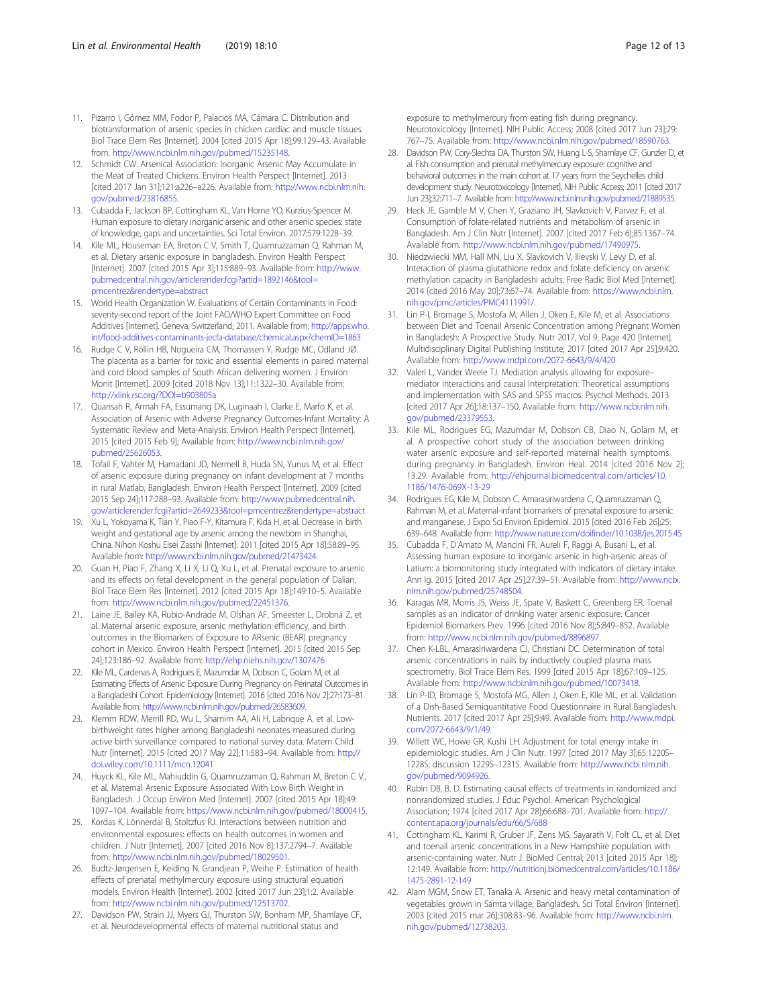- <span id="page-11-0"></span>11. Pizarro I, Gómez MM, Fodor P, Palacios MA, Cámara C. Distribution and biotransformation of arsenic species in chicken cardiac and muscle tissues. Biol Trace Elem Res [Internet]. 2004 [cited 2015 Apr 18];99:129–43. Available from: <http://www.ncbi.nlm.nih.gov/pubmed/15235148>.
- 12. Schmidt CW. Arsenical Association: Inorganic Arsenic May Accumulate in the Meat of Treated Chickens. Environ Health Perspect [Internet]. 2013 [cited 2017 Jan 31];121:a226–a226. Available from: [http://www.ncbi.nlm.nih.](http://www.ncbi.nlm.nih.gov/pubmed/23816855) [gov/pubmed/23816855](http://www.ncbi.nlm.nih.gov/pubmed/23816855).
- 13. Cubadda F, Jackson BP, Cottingham KL, Van Horne YO, Kurzius-Spencer M. Human exposure to dietary inorganic arsenic and other arsenic species: state of knowledge, gaps and uncertainties. Sci Total Environ. 2017;579:1228–39.
- 14. Kile ML, Houseman EA, Breton C V, Smith T, Quamruzzaman Q, Rahman M, et al. Dietary arsenic exposure in bangladesh. Environ Health Perspect [Internet]. 2007 [cited 2015 Apr 3];115:889–93. Available from: [http://www.](http://www.pubmedcentral.nih.gov/articlerender.fcgi?artid=1892146&tool=pmcentrez&rendertype=abstract) [pubmedcentral.nih.gov/articlerender.fcgi?artid=1892146&tool=](http://www.pubmedcentral.nih.gov/articlerender.fcgi?artid=1892146&tool=pmcentrez&rendertype=abstract) [pmcentrez&rendertype=abstract](http://www.pubmedcentral.nih.gov/articlerender.fcgi?artid=1892146&tool=pmcentrez&rendertype=abstract)
- 15. World Health Organization W. Evaluations of Certain Contaminants in Food: seventy-second report of the Joint FAO/WHO Expert Committee on Food Additives [Internet]. Geneva, Switzerland; 2011. Available from: [http://apps.who.](http://apps.who.int/food-additives-contaminants-jecfa-database/chemical.aspx?chemID=1863) [int/food-additives-contaminants-jecfa-database/chemical.aspx?chemID=1863](http://apps.who.int/food-additives-contaminants-jecfa-database/chemical.aspx?chemID=1863)
- 16. Rudge C V, Röllin HB, Nogueira CM, Thomassen Y, Rudge MC, Odland JØ. The placenta as a barrier for toxic and essential elements in paired maternal and cord blood samples of South African delivering women. J Environ Monit [Internet]. 2009 [cited 2018 Nov 13];11:1322–30. Available from: <http://xlink.rsc.org/?DOI=b903805a>
- 17. Quansah R, Armah FA, Essumang DK, Luginaah I, Clarke E, Marfo K, et al. Association of Arsenic with Adverse Pregnancy Outcomes-Infant Mortality: A Systematic Review and Meta-Analysis. Environ Health Perspect [Internet]. 2015 [cited 2015 Feb 9]; Available from: [http://www.ncbi.nlm.nih.gov/](http://www.ncbi.nlm.nih.gov/pubmed/25626053) [pubmed/25626053.](http://www.ncbi.nlm.nih.gov/pubmed/25626053)
- 18. Tofail F, Vahter M, Hamadani JD, Nermell B, Huda SN, Yunus M, et al. Effect of arsenic exposure during pregnancy on infant development at 7 months in rural Matlab, Bangladesh. Environ Health Perspect [Internet]. 2009 [cited 2015 Sep 24];117:288–93. Available from: [http://www.pubmedcentral.nih.](http://www.pubmedcentral.nih.gov/articlerender.fcgi?artid=2649233&tool=pmcentrez&rendertype=abstract) [gov/articlerender.fcgi?artid=2649233&tool=pmcentrez&rendertype=abstract](http://www.pubmedcentral.nih.gov/articlerender.fcgi?artid=2649233&tool=pmcentrez&rendertype=abstract)
- 19. Xu L, Yokoyama K, Tian Y, Piao F-Y, Kitamura F, Kida H, et al. Decrease in birth weight and gestational age by arsenic among the newborn in Shanghai. China. Nihon Koshu Eisei Zasshi [Internet]. 2011 [cited 2015 Apr 18];58:89–95. Available from: [http://www.ncbi.nlm.nih.gov/pubmed/21473424.](http://www.ncbi.nlm.nih.gov/pubmed/21473424)
- 20. Guan H, Piao F, Zhang X, Li X, Li Q, Xu L, et al. Prenatal exposure to arsenic and its effects on fetal development in the general population of Dalian. Biol Trace Elem Res [Internet]. 2012 [cited 2015 Apr 18];149:10–5. Available from: <http://www.ncbi.nlm.nih.gov/pubmed/22451376>.
- 21. Laine JE, Bailey KA, Rubio-Andrade M, Olshan AF, Smeester L, Drobná Z, et al. Maternal arsenic exposure, arsenic methylation efficiency, and birth outcomes in the Biomarkers of Exposure to ARsenic (BEAR) pregnancy cohort in Mexico. Environ Health Perspect [Internet]. 2015 [cited 2015 Sep 24];123:186–92. Available from: <http://ehp.niehs.nih.gov/1307476>
- 22. Kile ML, Cardenas A, Rodrigues E, Mazumdar M, Dobson C, Golam M, et al. Estimating Effects of Arsenic Exposure During Pregnancy on Perinatal Outcomes in a Bangladeshi Cohort. Epidemiology [Internet]. 2016 [cited 2016 Nov 2];27:173–81. Available from: <http://www.ncbi.nlm.nih.gov/pubmed/26583609>.
- 23. Klemm RDW, Merrill RD, Wu L, Shamim AA, Ali H, Labrique A, et al. Lowbirthweight rates higher among Bangladeshi neonates measured during active birth surveillance compared to national survey data. Matern Child Nutr [Internet]. 2015 [cited 2017 May 22];11:583–94. Available from: [http://](http://doi.wiley.com/10.1111/mcn.12041) [doi.wiley.com/10.1111/mcn.12041](http://doi.wiley.com/10.1111/mcn.12041)
- 24. Huyck KL, Kile ML, Mahiuddin G, Quamruzzaman Q, Rahman M, Breton C V., et al. Maternal Arsenic Exposure Associated With Low Birth Weight in Bangladesh. J Occup Environ Med [Internet]. 2007 [cited 2015 Apr 18]:49. 1097–104. Available from: <https://www.ncbi.nlm.nih.gov/pubmed/18000415>.
- 25. Kordas K, Lönnerdal B, Stoltzfus RJ. Interactions between nutrition and environmental exposures: effects on health outcomes in women and children. J Nutr [Internet]. 2007 [cited 2016 Nov 8];137:2794–7. Available from: <http://www.ncbi.nlm.nih.gov/pubmed/18029501>.
- 26. Budtz-Jørgensen E, Keiding N, Grandjean P, Weihe P. Estimation of health effects of prenatal methylmercury exposure using structural equation models. Environ Health [Internet]. 2002 [cited 2017 Jun 23];1:2. Available from: <http://www.ncbi.nlm.nih.gov/pubmed/12513702>.
- 27. Davidson PW, Strain JJ, Myers GJ, Thurston SW, Bonham MP, Shamlaye CF, et al. Neurodevelopmental effects of maternal nutritional status and

exposure to methylmercury from eating fish during pregnancy. Neurotoxicology [Internet]. NIH Public Access; 2008 [cited 2017 Jun 23];29: 767–75. Available from: <http://www.ncbi.nlm.nih.gov/pubmed/18590763>.

- 28. Davidson PW, Cory-Slechta DA, Thurston SW, Huang L-S, Shamlaye CF, Gunzler D, et al. Fish consumption and prenatal methylmercury exposure: cognitive and behavioral outcomes in the main cohort at 17 years from the Seychelles child development study. Neurotoxicology [Internet]. NIH Public Access; 2011 [cited 2017 Jun 23];32:711–7. Available from: [http://www.ncbi.nlm.nih.gov/pubmed/21889535.](http://www.ncbi.nlm.nih.gov/pubmed/21889535)
- 29. Heck JE, Gamble M V, Chen Y, Graziano JH, Slavkovich V, Parvez F, et al. Consumption of folate-related nutrients and metabolism of arsenic in Bangladesh. Am J Clin Nutr [Internet]. 2007 [cited 2017 Feb 6];85:1367–74. Available from: <http://www.ncbi.nlm.nih.gov/pubmed/17490975>.
- 30. Niedzwiecki MM, Hall MN, Liu X, Slavkovich V, Ilievski V, Levy D, et al. Interaction of plasma glutathione redox and folate deficiency on arsenic methylation capacity in Bangladeshi adults. Free Radic Biol Med [Internet]. 2014 [cited 2016 May 20];73:67–74. Available from: [https://www.ncbi.nlm.](https://www.ncbi.nlm.nih.gov/pmc/articles/PMC4111991/) [nih.gov/pmc/articles/PMC4111991/.](https://www.ncbi.nlm.nih.gov/pmc/articles/PMC4111991/)
- 31. Lin P-I, Bromage S, Mostofa M, Allen J, Oken E, Kile M, et al. Associations between Diet and Toenail Arsenic Concentration among Pregnant Women in Bangladesh: A Prospective Study. Nutr 2017, Vol 9, Page 420 [Internet]. Multidisciplinary Digital Publishing Institute; 2017 [cited 2017 Apr 25];9:420. Available from: <http://www.mdpi.com/2072-6643/9/4/420>
- 32. Valeri L, Vander Weele TJ. Mediation analysis allowing for exposure– mediator interactions and causal interpretation: Theoretical assumptions and implementation with SAS and SPSS macros. Psychol Methods. 2013 [cited 2017 Apr 26];18:137–150. Available from: [http://www.ncbi.nlm.nih.](http://www.ncbi.nlm.nih.gov/pubmed/23379553) [gov/pubmed/23379553](http://www.ncbi.nlm.nih.gov/pubmed/23379553).
- 33. Kile ML, Rodrigues EG, Mazumdar M, Dobson CB, Diao N, Golam M, et al. A prospective cohort study of the association between drinking water arsenic exposure and self-reported maternal health symptoms during pregnancy in Bangladesh. Environ Heal. 2014 [cited 2016 Nov 2]; 13:29. Available from: [http://ehjournal.biomedcentral.com/articles/10.](http://ehjournal.biomedcentral.com/articles/10.1186/1476-069X-13-29) [1186/1476-069X-13-29](http://ehjournal.biomedcentral.com/articles/10.1186/1476-069X-13-29)
- 34. Rodrigues EG, Kile M, Dobson C, Amarasiriwardena C, Quamruzzaman Q, Rahman M, et al. Maternal-infant biomarkers of prenatal exposure to arsenic and manganese. J Expo Sci Environ Epidemiol. 2015 [cited 2016 Feb 26];25: 639–648. Available from: <http://www.nature.com/doifinder/10.1038/jes.2015.45>
- 35. Cubadda F, D'Amato M, Mancini FR, Aureli F, Raggi A, Busani L, et al. Assessing human exposure to inorganic arsenic in high-arsenic areas of Latium: a biomonitoring study integrated with indicators of dietary intake. Ann Ig. 2015 [cited 2017 Apr 25];27:39–51. Available from: [http://www.ncbi.](http://www.ncbi.nlm.nih.gov/pubmed/25748504) [nlm.nih.gov/pubmed/25748504.](http://www.ncbi.nlm.nih.gov/pubmed/25748504)
- 36. Karagas MR, Morris JS, Weiss JE, Spate V, Baskett C, Greenberg ER. Toenail samples as an indicator of drinking water arsenic exposure. Cancer Epidemiol Biomarkers Prev. 1996 [cited 2016 Nov 8];5:849–852. Available from: <http://www.ncbi.nlm.nih.gov/pubmed/8896897>.
- 37. Chen K-LBL, Amarasiriwardena CJ, Christiani DC. Determination of total arsenic concentrations in nails by inductively coupled plasma mass spectrometry. Biol Trace Elem Res. 1999 [cited 2015 Apr 18];67:109–125. Available from: <http://www.ncbi.nlm.nih.gov/pubmed/10073418>.
- 38. Lin P-ID, Bromage S, Mostofa MG, Allen J, Oken E, Kile ML, et al. Validation of a Dish-Based Semiquantitative Food Questionnaire in Rural Bangladesh. Nutrients. 2017 [cited 2017 Apr 25];9:49. Available from: [http://www.mdpi.](http://www.mdpi.com/2072-6643/9/1/49) [com/2072-6643/9/1/49.](http://www.mdpi.com/2072-6643/9/1/49)
- 39. Willett WC, Howe GR, Kushi LH. Adjustment for total energy intake in epidemiologic studies. Am J Clin Nutr. 1997 [cited 2017 May 3];65:1220S– 1228S; discussion 1229S–1231S. Available from: [http://www.ncbi.nlm.nih.](http://www.ncbi.nlm.nih.gov/pubmed/9094926) [gov/pubmed/9094926.](http://www.ncbi.nlm.nih.gov/pubmed/9094926)
- 40. Rubin DB, B. D. Estimating causal effects of treatments in randomized and nonrandomized studies. J Educ Psychol. American Psychological Association; 1974 [cited 2017 Apr 28];66:688–701. Available from: [http://](http://content.apa.org/journals/edu/66/5/688) [content.apa.org/journals/edu/66/5/688](http://content.apa.org/journals/edu/66/5/688)
- 41. Cottingham KL, Karimi R, Gruber JF, Zens MS, Sayarath V, Folt CL, et al. Diet and toenail arsenic concentrations in a New Hampshire population with arsenic-containing water. Nutr J. BioMed Central; 2013 [cited 2015 Apr 18]; 12:149. Available from: [http://nutritionj.biomedcentral.com/articles/10.1186/](http://nutritionj.biomedcentral.com/articles/10.1186/1475-2891-12-149) [1475-2891-12-149](http://nutritionj.biomedcentral.com/articles/10.1186/1475-2891-12-149)
- 42. Alam MGM, Snow ET, Tanaka A. Arsenic and heavy metal contamination of vegetables grown in Samta village, Bangladesh. Sci Total Environ [Internet]. 2003 [cited 2015 mar 26];308:83–96. Available from: [http://www.ncbi.nlm.](http://www.ncbi.nlm.nih.gov/pubmed/12738203) [nih.gov/pubmed/12738203](http://www.ncbi.nlm.nih.gov/pubmed/12738203).